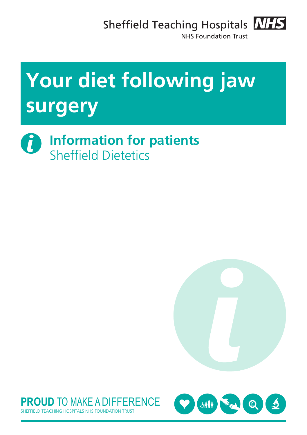Sheffield Teaching Hospitals **NHS** 



NHS Foundation Trust

# **Your diet following jaw surgery**

 $\boldsymbol{\theta}$ **Information for patients** Sheffield Dietetics





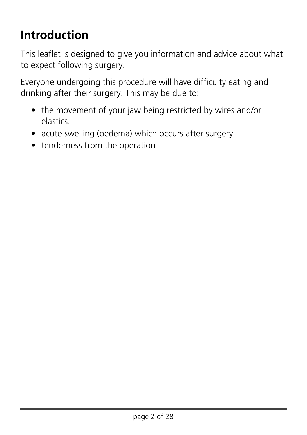## **Introduction**

This leaflet is designed to give you information and advice about what to expect following surgery.

Everyone undergoing this procedure will have difficulty eating and drinking after their surgery. This may be due to:

- the movement of your jaw being restricted by wires and/or elastics.
- acute swelling (oedema) which occurs after surgery
- tenderness from the operation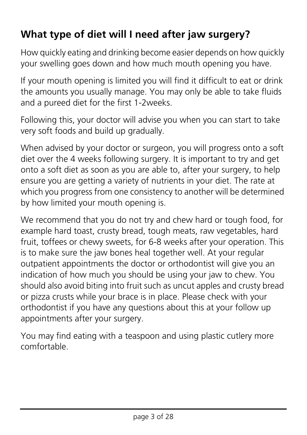## **What type of diet will I need after jaw surgery?**

How quickly eating and drinking become easier depends on how quickly your swelling goes down and how much mouth opening you have.

If your mouth opening is limited you will find it difficult to eat or drink the amounts you usually manage. You may only be able to take fluids and a pureed diet for the first 1-2weeks.

Following this, your doctor will advise you when you can start to take very soft foods and build up gradually.

When advised by your doctor or surgeon, you will progress onto a soft diet over the 4 weeks following surgery. It is important to try and get onto a soft diet as soon as you are able to, after your surgery, to help ensure you are getting a variety of nutrients in your diet. The rate at which you progress from one consistency to another will be determined by how limited your mouth opening is.

We recommend that you do not try and chew hard or tough food, for example hard toast, crusty bread, tough meats, raw vegetables, hard fruit, toffees or chewy sweets, for 6-8 weeks after your operation. This is to make sure the jaw bones heal together well. At your regular outpatient appointments the doctor or orthodontist will give you an indication of how much you should be using your jaw to chew. You should also avoid biting into fruit such as uncut apples and crusty bread or pizza crusts while your brace is in place. Please check with your orthodontist if you have any questions about this at your follow up appointments after your surgery.

You may find eating with a teaspoon and using plastic cutlery more comfortable.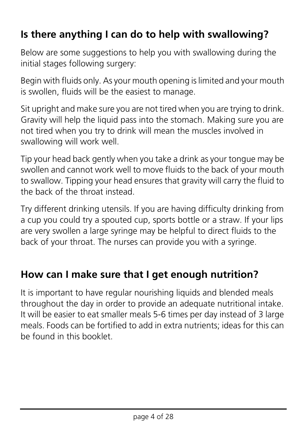## **Is there anything I can do to help with swallowing?**

Below are some suggestions to help you with swallowing during the initial stages following surgery:

Begin with fluids only. As your mouth opening is limited and your mouth is swollen, fluids will be the easiest to manage.

Sit upright and make sure you are not tired when you are trying to drink. Gravity will help the liquid pass into the stomach. Making sure you are not tired when you try to drink will mean the muscles involved in swallowing will work well.

Tip your head back gently when you take a drink as your tongue may be swollen and cannot work well to move fluids to the back of your mouth to swallow. Tipping your head ensures that gravity will carry the fluid to the back of the throat instead.

Try different drinking utensils. If you are having difficulty drinking from a cup you could try a spouted cup, sports bottle or a straw. If your lips are very swollen a large syringe may be helpful to direct fluids to the back of your throat. The nurses can provide you with a syringe.

## **How can I make sure that I get enough nutrition?**

It is important to have regular nourishing liquids and blended meals throughout the day in order to provide an adequate nutritional intake. It will be easier to eat smaller meals 5-6 times per day instead of 3 large meals. Foods can be fortified to add in extra nutrients; ideas for this can be found in this booklet.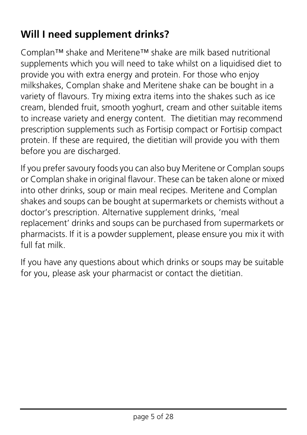## **Will I need supplement drinks?**

Complan™ shake and Meritene™ shake are milk based nutritional supplements which you will need to take whilst on a liquidised diet to provide you with extra energy and protein. For those who enjoy milkshakes, Complan shake and Meritene shake can be bought in a variety of flavours. Try mixing extra items into the shakes such as ice cream, blended fruit, smooth yoghurt, cream and other suitable items to increase variety and energy content. The dietitian may recommend prescription supplements such as Fortisip compact or Fortisip compact protein. If these are required, the dietitian will provide you with them before you are discharged.

If you prefer savoury foods you can also buy Meritene or Complan soups or Complan shake in original flavour. These can be taken alone or mixed into other drinks, soup or main meal recipes. Meritene and Complan shakes and soups can be bought at supermarkets or chemists without a doctor's prescription. Alternative supplement drinks, 'meal replacement' drinks and soups can be purchased from supermarkets or pharmacists. If it is a powder supplement, please ensure you mix it with full fat milk.

If you have any questions about which drinks or soups may be suitable for you, please ask your pharmacist or contact the dietitian.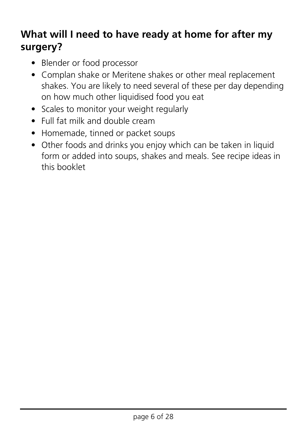## **What will I need to have ready at home for after my surgery?**

- Blender or food processor
- Complan shake or Meritene shakes or other meal replacement shakes. You are likely to need several of these per day depending on how much other liquidised food you eat
- Scales to monitor your weight regularly
- Full fat milk and double cream
- Homemade, tinned or packet soups
- Other foods and drinks you enjoy which can be taken in liquid form or added into soups, shakes and meals. See recipe ideas in this booklet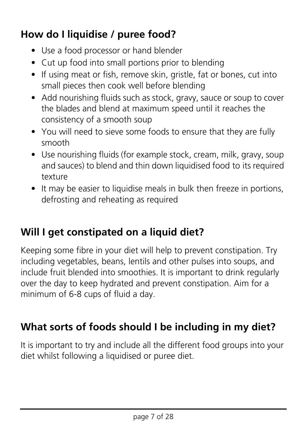## **How do I liquidise / puree food?**

- Use a food processor or hand blender
- Cut up food into small portions prior to blending
- If using meat or fish, remove skin, gristle, fat or bones, cut into small pieces then cook well before blending
- Add nourishing fluids such as stock, gravy, sauce or soup to cover the blades and blend at maximum speed until it reaches the consistency of a smooth soup
- You will need to sieve some foods to ensure that they are fully smooth
- Use nourishing fluids (for example stock, cream, milk, gravy, soup and sauces) to blend and thin down liquidised food to its required texture
- It may be easier to liquidise meals in bulk then freeze in portions, defrosting and reheating as required

## **Will I get constipated on a liquid diet?**

Keeping some fibre in your diet will help to prevent constipation. Try including vegetables, beans, lentils and other pulses into soups, and include fruit blended into smoothies. It is important to drink regularly over the day to keep hydrated and prevent constipation. Aim for a minimum of 6-8 cups of fluid a day.

## **What sorts of foods should I be including in my diet?**

It is important to try and include all the different food groups into your diet whilst following a liquidised or puree diet.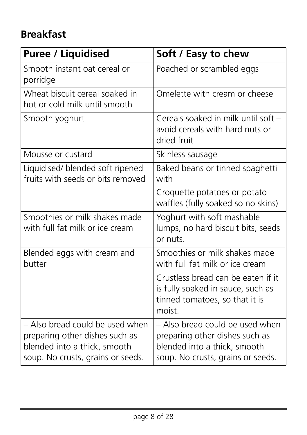## **Breakfast**

| <b>Puree / Liquidised</b>                                                                                                              | Soft / Easy to chew                                                                                                                    |
|----------------------------------------------------------------------------------------------------------------------------------------|----------------------------------------------------------------------------------------------------------------------------------------|
| Smooth instant oat cereal or<br>porridge                                                                                               | Poached or scrambled eggs                                                                                                              |
| Wheat biscuit cereal soaked in<br>hot or cold milk until smooth                                                                        | Omelette with cream or cheese                                                                                                          |
| Smooth yoghurt                                                                                                                         | Cereals soaked in milk until soft -<br>avoid cereals with hard nuts or<br>dried fruit                                                  |
| Mousse or custard                                                                                                                      | Skinless sausage                                                                                                                       |
| Liquidised/ blended soft ripened<br>fruits with seeds or bits removed                                                                  | Baked beans or tinned spaghetti<br>with                                                                                                |
|                                                                                                                                        | Croquette potatoes or potato<br>waffles (fully soaked so no skins)                                                                     |
| Smoothies or milk shakes made<br>with full fat milk or ice cream                                                                       | Yoghurt with soft mashable<br>lumps, no hard biscuit bits, seeds<br>or nuts.                                                           |
| Blended eggs with cream and<br>butter                                                                                                  | Smoothies or milk shakes made<br>with full fat milk or ice cream                                                                       |
|                                                                                                                                        | Crustless bread can be eaten if it<br>is fully soaked in sauce, such as<br>tinned tomatoes, so that it is<br>moist.                    |
| - Also bread could be used when<br>preparing other dishes such as<br>blended into a thick, smooth<br>soup. No crusts, grains or seeds. | - Also bread could be used when<br>preparing other dishes such as<br>blended into a thick, smooth<br>soup. No crusts, grains or seeds. |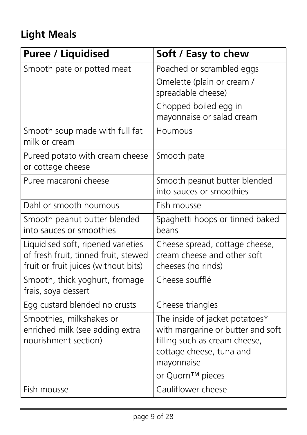## **Light Meals**

| <b>Puree / Liquidised</b>            | Soft / Easy to chew                    |
|--------------------------------------|----------------------------------------|
| Smooth pate or potted meat           | Poached or scrambled eggs              |
|                                      | Omelette (plain or cream /             |
|                                      | spreadable cheese)                     |
|                                      | Chopped boiled egg in                  |
|                                      | mayonnaise or salad cream              |
| Smooth soup made with full fat       | Houmous                                |
| milk or cream                        |                                        |
| Pureed potato with cream cheese      | Smooth pate                            |
| or cottage cheese                    |                                        |
| Puree macaroni cheese                | Smooth peanut butter blended           |
|                                      | into sauces or smoothies               |
| Dahl or smooth houmous               | Fish mousse                            |
| Smooth peanut butter blended         | Spaghetti hoops or tinned baked        |
| into sauces or smoothies             | beans                                  |
| Liquidised soft, ripened varieties   | Cheese spread, cottage cheese,         |
| of fresh fruit, tinned fruit, stewed | cream cheese and other soft            |
| fruit or fruit juices (without bits) | cheeses (no rinds)                     |
| Smooth, thick yoghurt, fromage       | Cheese soufflé                         |
| frais, soya dessert                  |                                        |
| Egg custard blended no crusts        | Cheese triangles                       |
| Smoothies, milkshakes or             | The inside of jacket potatoes*         |
| enriched milk (see adding extra      | with margarine or butter and soft      |
| nourishment section)                 | filling such as cream cheese,          |
|                                      | cottage cheese, tuna and<br>mayonnaise |
|                                      | or Quorn™ pieces                       |
|                                      |                                        |
| Fish mousse                          | Cauliflower cheese                     |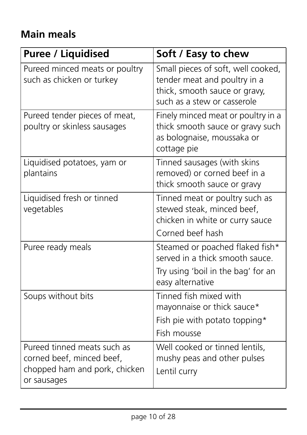## **Main meals**

| <b>Puree / Liquidised</b>                                                                                | Soft / Easy to chew                                                                                                                |
|----------------------------------------------------------------------------------------------------------|------------------------------------------------------------------------------------------------------------------------------------|
| Pureed minced meats or poultry<br>such as chicken or turkey                                              | Small pieces of soft, well cooked,<br>tender meat and poultry in a<br>thick, smooth sauce or gravy,<br>such as a stew or casserole |
| Pureed tender pieces of meat,<br>poultry or skinless sausages                                            | Finely minced meat or poultry in a<br>thick smooth sauce or gravy such<br>as bolognaise, moussaka or<br>cottage pie                |
| Liquidised potatoes, yam or<br>plantains                                                                 | Tinned sausages (with skins<br>removed) or corned beef in a<br>thick smooth sauce or gravy                                         |
| Liquidised fresh or tinned<br>vegetables                                                                 | Tinned meat or poultry such as<br>stewed steak, minced beef,<br>chicken in white or curry sauce<br>Corned beef hash                |
| Puree ready meals                                                                                        | Steamed or poached flaked fish*<br>served in a thick smooth sauce.<br>Try using 'boil in the bag' for an<br>easy alternative       |
| Soups without bits                                                                                       | Tinned fish mixed with<br>mayonnaise or thick sauce*<br>Fish pie with potato topping*<br>Fish mousse                               |
| Pureed tinned meats such as<br>corned beef, minced beef,<br>chopped ham and pork, chicken<br>or sausages | Well cooked or tinned lentils,<br>mushy peas and other pulses<br>Lentil curry                                                      |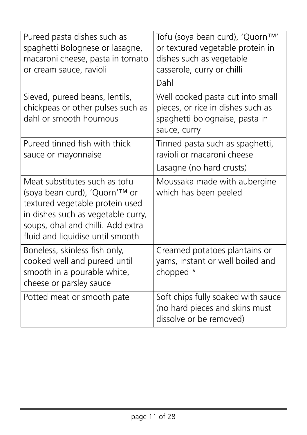| Pureed pasta dishes such as<br>spaghetti Bolognese or lasagne,<br>macaroni cheese, pasta in tomato<br>or cream sauce, ravioli                                                                                    | Tofu (soya bean curd), 'Quorn™'<br>or textured vegetable protein in<br>dishes such as vegetable<br>casserole, curry or chilli<br>Dahl |
|------------------------------------------------------------------------------------------------------------------------------------------------------------------------------------------------------------------|---------------------------------------------------------------------------------------------------------------------------------------|
| Sieved, pureed beans, lentils,<br>chickpeas or other pulses such as<br>dahl or smooth houmous                                                                                                                    | Well cooked pasta cut into small<br>pieces, or rice in dishes such as<br>spaghetti bolognaise, pasta in<br>sauce, curry               |
| Pureed tinned fish with thick<br>sauce or mayonnaise                                                                                                                                                             | Tinned pasta such as spaghetti,<br>ravioli or macaroni cheese<br>Lasagne (no hard crusts)                                             |
| Meat substitutes such as tofu<br>(soya bean curd), 'Quorn'™ or<br>textured vegetable protein used<br>in dishes such as vegetable curry,<br>soups, dhal and chilli. Add extra<br>fluid and liquidise until smooth | Moussaka made with aubergine<br>which has been peeled                                                                                 |
| Boneless, skinless fish only,<br>cooked well and pureed until<br>smooth in a pourable white,<br>cheese or parsley sauce                                                                                          | Creamed potatoes plantains or<br>yams, instant or well boiled and<br>chopped *                                                        |
| Potted meat or smooth pate                                                                                                                                                                                       | Soft chips fully soaked with sauce<br>(no hard pieces and skins must<br>dissolve or be removed)                                       |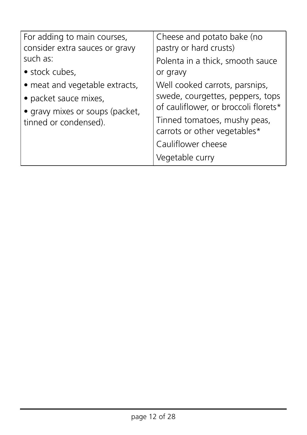| For adding to main courses,<br>consider extra sauces or gravy<br>such as:<br>• stock cubes,<br>• meat and vegetable extracts,<br>• packet sauce mixes,<br>• gravy mixes or soups (packet,<br>tinned or condensed). | Cheese and potato bake (no<br>pastry or hard crusts)<br>Polenta in a thick, smooth sauce<br>or gravy<br>Well cooked carrots, parsnips,<br>swede, courgettes, peppers, tops<br>of cauliflower, or broccoli florets*<br>Tinned tomatoes, mushy peas,<br>carrots or other vegetables*<br>Cauliflower cheese<br>Vegetable curry |
|--------------------------------------------------------------------------------------------------------------------------------------------------------------------------------------------------------------------|-----------------------------------------------------------------------------------------------------------------------------------------------------------------------------------------------------------------------------------------------------------------------------------------------------------------------------|
|--------------------------------------------------------------------------------------------------------------------------------------------------------------------------------------------------------------------|-----------------------------------------------------------------------------------------------------------------------------------------------------------------------------------------------------------------------------------------------------------------------------------------------------------------------------|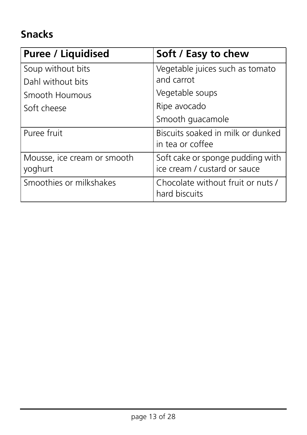## **Snacks**

| <b>Puree / Liquidised</b>              | Soft / Easy to chew                                              |
|----------------------------------------|------------------------------------------------------------------|
| Soup without bits                      | Vegetable juices such as tomato                                  |
| Dahl without bits                      | and carrot                                                       |
| Smooth Houmous                         | Vegetable soups                                                  |
| Soft cheese                            | Ripe avocado                                                     |
|                                        | Smooth guacamole                                                 |
| Puree fruit                            | Biscuits soaked in milk or dunked<br>in tea or coffee            |
| Mousse, ice cream or smooth<br>yoghurt | Soft cake or sponge pudding with<br>ice cream / custard or sauce |
| Smoothies or milkshakes                | Chocolate without fruit or nuts /<br>hard biscuits               |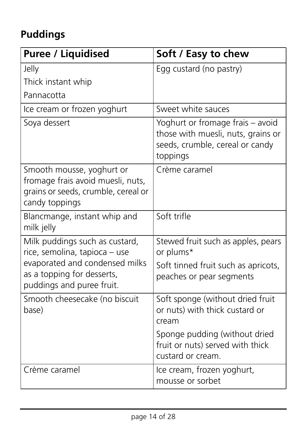## **Puddings**

| <b>Puree / Liquidised</b>                                                                                                                                    | Soft / Easy to chew                                                                                                   |
|--------------------------------------------------------------------------------------------------------------------------------------------------------------|-----------------------------------------------------------------------------------------------------------------------|
| Jelly                                                                                                                                                        | Egg custard (no pastry)                                                                                               |
| Thick instant whip                                                                                                                                           |                                                                                                                       |
| Pannacotta                                                                                                                                                   |                                                                                                                       |
| Ice cream or frozen yoghurt                                                                                                                                  | Sweet white sauces                                                                                                    |
| Soya dessert                                                                                                                                                 | Yoghurt or fromage frais - avoid<br>those with muesli, nuts, grains or<br>seeds, crumble, cereal or candy<br>toppings |
| Smooth mousse, yoghurt or<br>fromage frais avoid muesli, nuts,<br>grains or seeds, crumble, cereal or<br>candy toppings                                      | Crème caramel                                                                                                         |
| Blancmange, instant whip and<br>milk jelly                                                                                                                   | Soft trifle                                                                                                           |
| Milk puddings such as custard,<br>rice, semolina, tapioca - use<br>evaporated and condensed milks<br>as a topping for desserts,<br>puddings and puree fruit. | Stewed fruit such as apples, pears<br>or plums*<br>Soft tinned fruit such as apricots,<br>peaches or pear segments    |
| Smooth cheesecake (no biscuit<br>base)                                                                                                                       | Soft sponge (without dried fruit<br>or nuts) with thick custard or<br>cream                                           |
|                                                                                                                                                              | Sponge pudding (without dried<br>fruit or nuts) served with thick<br>custard or cream.                                |
| Crème caramel                                                                                                                                                | Ice cream, frozen yoghurt,<br>mousse or sorbet                                                                        |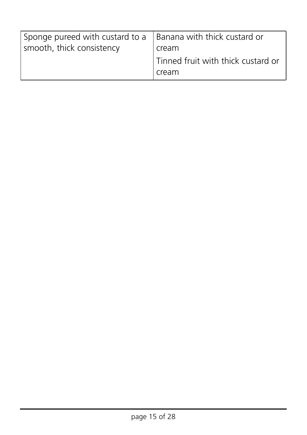| Sponge pureed with custard to a $\vert$ Banana with thick custard or<br>smooth, thick consistency | cream                                       |
|---------------------------------------------------------------------------------------------------|---------------------------------------------|
|                                                                                                   | Tinned fruit with thick custard or<br>cream |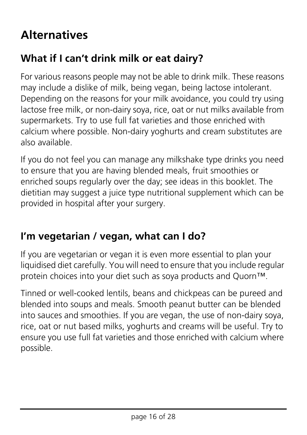## **Alternatives**

## **What if I can't drink milk or eat dairy?**

For various reasons people may not be able to drink milk. These reasons may include a dislike of milk, being vegan, being lactose intolerant. Depending on the reasons for your milk avoidance, you could try using lactose free milk, or non-dairy soya, rice, oat or nut milks available from supermarkets. Try to use full fat varieties and those enriched with calcium where possible. Non-dairy yoghurts and cream substitutes are also available.

If you do not feel you can manage any milkshake type drinks you need to ensure that you are having blended meals, fruit smoothies or enriched soups regularly over the day; see ideas in this booklet. The dietitian may suggest a juice type nutritional supplement which can be provided in hospital after your surgery.

## **I'm vegetarian / vegan, what can I do?**

If you are vegetarian or vegan it is even more essential to plan your liquidised diet carefully. You will need to ensure that you include regular protein choices into your diet such as soya products and Quorn™.

Tinned or well-cooked lentils, beans and chickpeas can be pureed and blended into soups and meals. Smooth peanut butter can be blended into sauces and smoothies. If you are vegan, the use of non-dairy soya, rice, oat or nut based milks, yoghurts and creams will be useful. Try to ensure you use full fat varieties and those enriched with calcium where possible.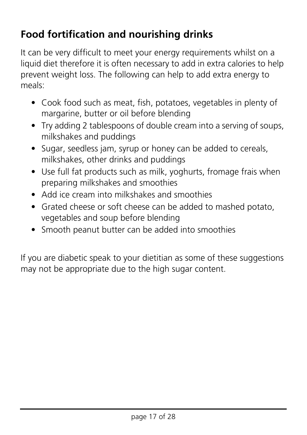## **Food fortification and nourishing drinks**

It can be very difficult to meet your energy requirements whilst on a liquid diet therefore it is often necessary to add in extra calories to help prevent weight loss. The following can help to add extra energy to meals:

- Cook food such as meat, fish, potatoes, vegetables in plenty of margarine, butter or oil before blending
- Try adding 2 tablespoons of double cream into a serving of soups, milkshakes and puddings
- Sugar, seedless jam, syrup or honey can be added to cereals, milkshakes, other drinks and puddings
- Use full fat products such as milk, yoghurts, fromage frais when preparing milkshakes and smoothies
- Add ice cream into milkshakes and smoothies
- Grated cheese or soft cheese can be added to mashed potato, vegetables and soup before blending
- Smooth peanut butter can be added into smoothies

If you are diabetic speak to your dietitian as some of these suggestions may not be appropriate due to the high sugar content.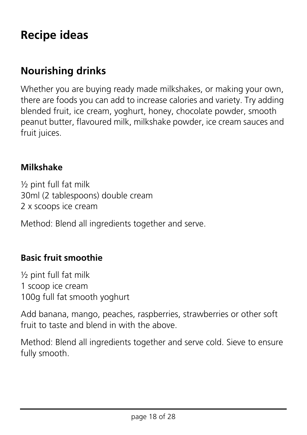## **Recipe ideas**

## **Nourishing drinks**

Whether you are buying ready made milkshakes, or making your own, there are foods you can add to increase calories and variety. Try adding blended fruit, ice cream, yoghurt, honey, chocolate powder, smooth peanut butter, flavoured milk, milkshake powder, ice cream sauces and fruit juices.

#### **Milkshake**

 $\frac{1}{2}$  pint full fat milk 30ml (2 tablespoons) double cream 2 x scoops ice cream

Method: Blend all ingredients together and serve.

#### **Basic fruit smoothie**

½ pint full fat milk 1 scoop ice cream 100g full fat smooth yoghurt

Add banana, mango, peaches, raspberries, strawberries or other soft fruit to taste and blend in with the above.

Method: Blend all ingredients together and serve cold. Sieve to ensure fully smooth.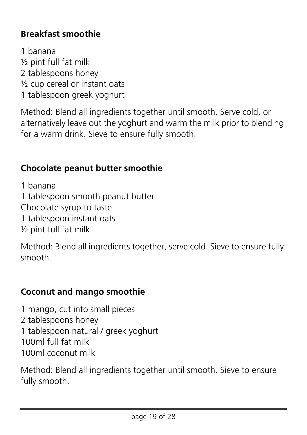#### **Breakfast smoothie**

1 banana ½ pint full fat milk 2 tablespoons honey ½ cup cereal or instant oats 1 tablespoon greek yoghurt

Method: Blend all ingredients together until smooth. Serve cold, or alternatively leave out the yoghurt and warm the milk prior to blending for a warm drink. Sieve to ensure fully smooth.

#### **Chocolate peanut butter smoothie**

1 banana

1 tablespoon smooth peanut butter

Chocolate syrup to taste

1 tablespoon instant oats

½ pint full fat milk

Method: Blend all ingredients together, serve cold. Sieve to ensure fully smooth.

#### **Coconut and mango smoothie**

1 mango, cut into small pieces 2 tablespoons honey 1 tablespoon natural / greek yoghurt 100ml full fat milk 100ml coconut milk

Method: Blend all ingredients together until smooth. Sieve to ensure fully smooth.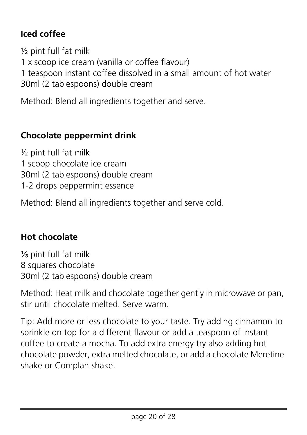#### **Iced coffee**

½ pint full fat milk 1 x scoop ice cream (vanilla or coffee flavour) 1 teaspoon instant coffee dissolved in a small amount of hot water 30ml (2 tablespoons) double cream

Method: Blend all ingredients together and serve.

#### **Chocolate peppermint drink**

½ pint full fat milk 1 scoop chocolate ice cream 30ml (2 tablespoons) double cream 1-2 drops peppermint essence

Method: Blend all ingredients together and serve cold.

#### **Hot chocolate**

⅓ pint full fat milk 8 squares chocolate 30ml (2 tablespoons) double cream

Method: Heat milk and chocolate together gently in microwave or pan, stir until chocolate melted. Serve warm.

Tip: Add more or less chocolate to your taste. Try adding cinnamon to sprinkle on top for a different flavour or add a teaspoon of instant coffee to create a mocha. To add extra energy try also adding hot chocolate powder, extra melted chocolate, or add a chocolate Meretine shake or Complan shake.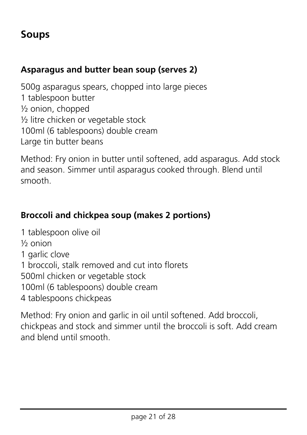### **Soups**

#### **Asparagus and butter bean soup (serves 2)**

500g asparagus spears, chopped into large pieces 1 tablespoon butter ½ onion, chopped ½ litre chicken or vegetable stock 100ml (6 tablespoons) double cream Large tin butter beans

Method: Fry onion in butter until softened, add asparagus. Add stock and season. Simmer until asparagus cooked through. Blend until smooth.

#### **Broccoli and chickpea soup (makes 2 portions)**

1 tablespoon olive oil ½ onion 1 garlic clove 1 broccoli, stalk removed and cut into florets 500ml chicken or vegetable stock 100ml (6 tablespoons) double cream 4 tablespoons chickpeas

Method: Fry onion and garlic in oil until softened. Add broccoli, chickpeas and stock and simmer until the broccoli is soft. Add cream and blend until smooth.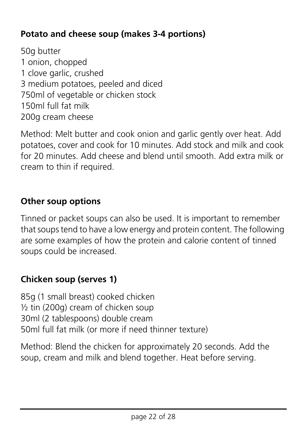#### **Potato and cheese soup (makes 3-4 portions)**

50g butter 1 onion, chopped 1 clove garlic, crushed 3 medium potatoes, peeled and diced 750ml of vegetable or chicken stock 150ml full fat milk 200g cream cheese

Method: Melt butter and cook onion and garlic gently over heat. Add potatoes, cover and cook for 10 minutes. Add stock and milk and cook for 20 minutes. Add cheese and blend until smooth. Add extra milk or cream to thin if required.

#### **Other soup options**

Tinned or packet soups can also be used. It is important to remember that soups tend to have a low energy and protein content. The following are some examples of how the protein and calorie content of tinned soups could be increased.

#### **Chicken soup (serves 1)**

85g (1 small breast) cooked chicken ½ tin (200g) cream of chicken soup 30ml (2 tablespoons) double cream 50ml full fat milk (or more if need thinner texture)

Method: Blend the chicken for approximately 20 seconds. Add the soup, cream and milk and blend together. Heat before serving.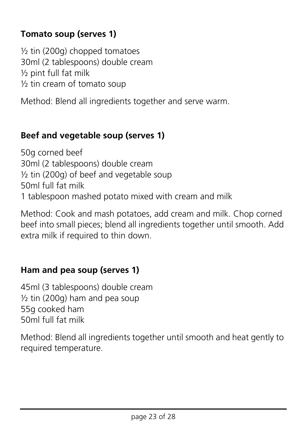#### **Tomato soup (serves 1)**

 $\frac{1}{2}$  tin (200g) chopped tomatoes 30ml (2 tablespoons) double cream ½ pint full fat milk ½ tin cream of tomato soup

Method: Blend all ingredients together and serve warm.

#### **Beef and vegetable soup (serves 1)**

50g corned beef 30ml (2 tablespoons) double cream ½ tin (200g) of beef and vegetable soup 50ml full fat milk 1 tablespoon mashed potato mixed with cream and milk

Method: Cook and mash potatoes, add cream and milk. Chop corned beef into small pieces; blend all ingredients together until smooth. Add extra milk if required to thin down.

#### **Ham and pea soup (serves 1)**

45ml (3 tablespoons) double cream  $\frac{1}{2}$  tin (200g) ham and pea soup 55g cooked ham 50ml full fat milk

Method: Blend all ingredients together until smooth and heat gently to required temperature.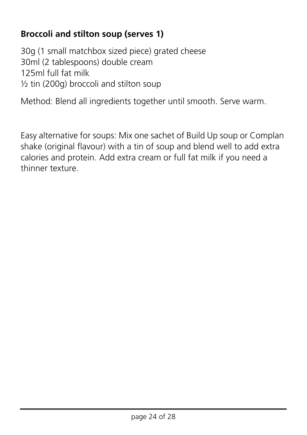#### **Broccoli and stilton soup (serves 1)**

30g (1 small matchbox sized piece) grated cheese 30ml (2 tablespoons) double cream 125ml full fat milk ½ tin (200g) broccoli and stilton soup

Method: Blend all ingredients together until smooth. Serve warm.

Easy alternative for soups: Mix one sachet of Build Up soup or Complan shake (original flavour) with a tin of soup and blend well to add extra calories and protein. Add extra cream or full fat milk if you need a thinner texture.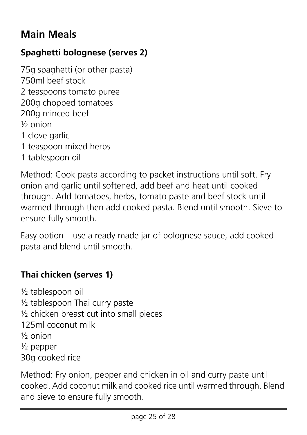## **Main Meals**

#### **Spaghetti bolognese (serves 2)**

75g spaghetti (or other pasta) 750ml beef stock 2 teaspoons tomato puree 200g chopped tomatoes 200g minced beef ½ onion 1 clove garlic 1 teaspoon mixed herbs 1 tablespoon oil

Method: Cook pasta according to packet instructions until soft. Fry onion and garlic until softened, add beef and heat until cooked through. Add tomatoes, herbs, tomato paste and beef stock until warmed through then add cooked pasta. Blend until smooth. Sieve to ensure fully smooth.

Easy option – use a ready made jar of bolognese sauce, add cooked pasta and blend until smooth.

#### **Thai chicken (serves 1)**

½ tablespoon oil ½ tablespoon Thai curry paste ½ chicken breast cut into small pieces 125ml coconut milk ½ onion ½ pepper 30g cooked rice

Method: Fry onion, pepper and chicken in oil and curry paste until cooked. Add coconut milk and cooked rice until warmed through. Blend and sieve to ensure fully smooth.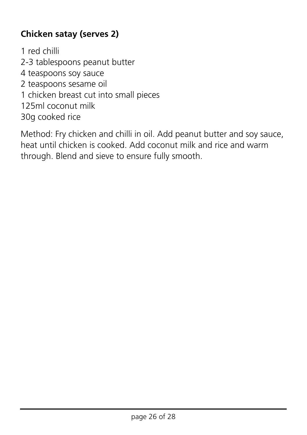#### **Chicken satay (serves 2)**

1 red chilli 2-3 tablespoons peanut butter 4 teaspoons soy sauce 2 teaspoons sesame oil 1 chicken breast cut into small pieces 125ml coconut milk 30g cooked rice

Method: Fry chicken and chilli in oil. Add peanut butter and soy sauce, heat until chicken is cooked. Add coconut milk and rice and warm through. Blend and sieve to ensure fully smooth.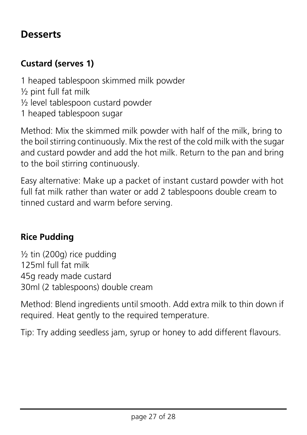#### **Desserts**

#### **Custard (serves 1)**

1 heaped tablespoon skimmed milk powder ½ pint full fat milk ½ level tablespoon custard powder 1 heaped tablespoon sugar

Method: Mix the skimmed milk powder with half of the milk, bring to the boil stirring continuously. Mix the rest of the cold milk with the sugar and custard powder and add the hot milk. Return to the pan and bring to the boil stirring continuously.

Easy alternative: Make up a packet of instant custard powder with hot full fat milk rather than water or add 2 tablespoons double cream to tinned custard and warm before serving.

#### **Rice Pudding**

 $\frac{1}{2}$  tin (200g) rice pudding 125ml full fat milk 45g ready made custard 30ml (2 tablespoons) double cream

Method: Blend ingredients until smooth. Add extra milk to thin down if required. Heat gently to the required temperature.

Tip: Try adding seedless jam, syrup or honey to add different flavours.